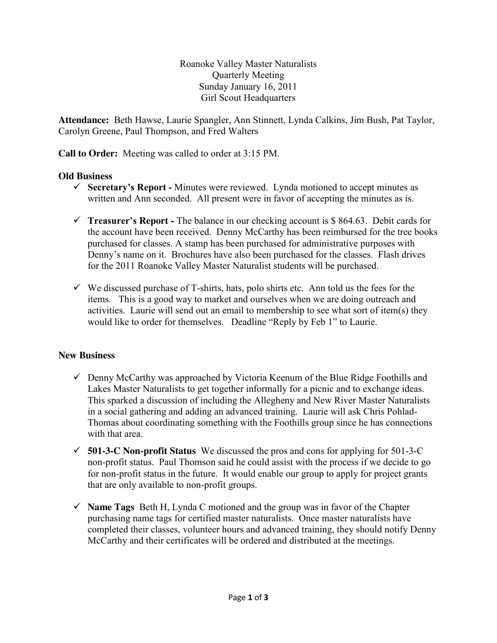Roanoke Valley Master Naturalists Quarterly Meeting Sunday January 16, 2011 Girl Scout Headquarters

**Attendance:** Beth Hawse, Laurie Spangler, Ann Stinnett, Lynda Calkins, Jim Bush, Pat Taylor, Carolyn Greene, Paul Thompson, and Fred Walters

**Call to Order:** Meeting was called to order at 3:15 PM.

# **Old Business**

- **Secretary's Report -** Minutes were reviewed. Lynda motioned to accept minutes as written and Ann seconded. All present were in favor of accepting the minutes as is.
- **Treasurer's Report -** The balance in our checking account is  $$864.63$ . Debit cards for the account have been received. Denny McCarthy has been reimbursed for the tree books purchased for classes. A stamp has been purchased for administrative purposes with Denny's name on it. Brochures have also been purchased for the classes. Flash drives for the 2011 Roanoke Valley Master Naturalist students will be purchased.
- $\checkmark$  We discussed purchase of T-shirts, hats, polo shirts etc. Ann told us the fees for the items. This is a good way to market and ourselves when we are doing outreach and activities. Laurie will send out an email to membership to see what sort of item(s) they would like to order for themselves. Deadline "Reply by Feb 1" to Laurie.

# **New Business**

- $\checkmark$  Denny McCarthy was approached by Victoria Keenum of the Blue Ridge Foothills and Lakes Master Naturalists to get together informally for a picnic and to exchange ideas. This sparked a discussion of including the Allegheny and New River Master Naturalists in a social gathering and adding an advanced training. Laurie will ask Chris Pohlad-Thomas about coordinating something with the Foothills group since he has connections with that area.
- **501-3-C Non-profit Status** We discussed the pros and cons for applying for 501-3-C non-profit status. Paul Thomson said he could assist with the process if we decide to go for non-profit status in the future. It would enable our group to apply for project grants that are only available to non-profit groups.
- $\checkmark$  **Name Tags** Beth H, Lynda C motioned and the group was in favor of the Chapter purchasing name tags for certified master naturalists. Once master naturalists have completed their classes, volunteer hours and advanced training, they should notify Denny McCarthy and their certificates will be ordered and distributed at the meetings.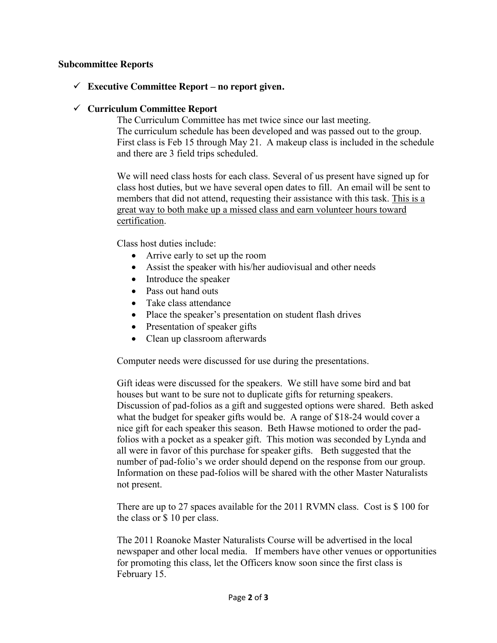### **Subcommittee Reports**

## **Executive Committee Report – no report given.**

### **Curriculum Committee Report**

The Curriculum Committee has met twice since our last meeting. The curriculum schedule has been developed and was passed out to the group. First class is Feb 15 through May 21. A makeup class is included in the schedule and there are 3 field trips scheduled.

We will need class hosts for each class. Several of us present have signed up for class host duties, but we have several open dates to fill. An email will be sent to members that did not attend, requesting their assistance with this task. This is a great way to both make up a missed class and earn volunteer hours toward certification.

Class host duties include:

- Arrive early to set up the room
- Assist the speaker with his/her audiovisual and other needs
- Introduce the speaker
- Pass out hand outs
- Take class attendance
- Place the speaker's presentation on student flash drives
- Presentation of speaker gifts
- Clean up classroom afterwards

Computer needs were discussed for use during the presentations.

Gift ideas were discussed for the speakers. We still have some bird and bat houses but want to be sure not to duplicate gifts for returning speakers. Discussion of pad-folios as a gift and suggested options were shared. Beth asked what the budget for speaker gifts would be. A range of \$18-24 would cover a nice gift for each speaker this season. Beth Hawse motioned to order the padfolios with a pocket as a speaker gift. This motion was seconded by Lynda and all were in favor of this purchase for speaker gifts. Beth suggested that the number of pad-folio's we order should depend on the response from our group. Information on these pad-folios will be shared with the other Master Naturalists not present.

There are up to 27 spaces available for the 2011 RVMN class. Cost is \$ 100 for the class or \$ 10 per class.

The 2011 Roanoke Master Naturalists Course will be advertised in the local newspaper and other local media. If members have other venues or opportunities for promoting this class, let the Officers know soon since the first class is February 15.